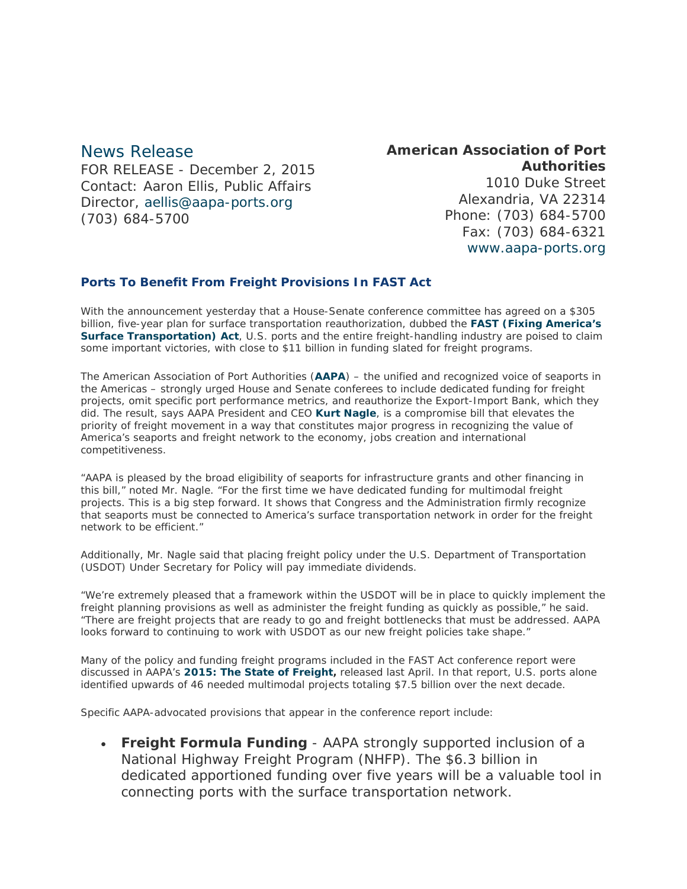## News Release

FOR RELEASE - December 2, 2015 Contact: Aaron Ellis, Public Affairs Director, [aellis@aapa-ports.org](mailto:aellis@aapa-ports.org) (703) 684-5700

# **American Association of Port Authorities**

1010 Duke Street Alexandria, VA 22314 Phone: (703) 684-5700 Fax: (703) 684-6321 [www.aapa-ports.org](http://www.aapa-ports.org/)

#### **Ports To Benefit From Freight Provisions In FAST Act**

With the announcement yesterday that a House-Senate conference committee has agreed on a \$305 billion, five-year plan for surface transportation reauthorization, dubbed the **[FAST \(Fixing America's](http://transportation.house.gov/uploadedfiles/fastact_xml.pdf)  [Surface Transportation\) Act](http://transportation.house.gov/uploadedfiles/fastact_xml.pdf)**, U.S. ports and the entire freight-handling industry are poised to claim some important victories, with close to \$11 billion in funding slated for freight programs.

The American Association of Port Authorities (**[AAPA](http://www.aapa-ports.org/)**) – the unified and recognized voice of seaports in the Americas – strongly urged House and Senate conferees to include dedicated funding for freight projects, omit specific port performance metrics, and reauthorize the Export-Import Bank, which they did. The result, says AAPA President and CEO **[Kurt Nagle](http://aapa.files.cms-plus.com/images/07%20Nagle_Kurt%20AAPA%2011_07_1360787493918_2.jpg)**, is a compromise bill that elevates the priority of freight movement in a way that constitutes major progress in recognizing the value of America's seaports and freight network to the economy, jobs creation and international competitiveness.

"AAPA is pleased by the broad eligibility of seaports for infrastructure grants and other financing in this bill," noted Mr. Nagle. "For the first time we have dedicated funding for multimodal freight projects. This is a big step forward. It shows that Congress and the Administration firmly recognize that seaports must be connected to America's surface transportation network in order for the freight network to be efficient."

Additionally, Mr. Nagle said that placing freight policy under the U.S. Department of Transportation (USDOT) Under Secretary for Policy will pay immediate dividends.

"We're extremely pleased that a framework within the USDOT will be in place to quickly implement the freight planning provisions as well as administer the freight funding as quickly as possible," he said. "There are freight projects that are ready to go and freight bottlenecks that must be addressed. AAPA looks forward to continuing to work with USDOT as our new freight policies take shape."

Many of the policy and funding freight programs included in the FAST Act conference report were discussed in AAPA's *[2015: The State of Freight,](http://aapa.files.cms-plus.com/StateofFreight_Report_final.pdf)* released last April. In that report, U.S. ports alone identified upwards of 46 needed multimodal projects totaling \$7.5 billion over the next decade.

Specific AAPA-advocated provisions that appear in the conference report include:

• **Freight Formula Funding** - AAPA strongly supported inclusion of a National Highway Freight Program (NHFP). The \$6.3 billion in dedicated apportioned funding over five years will be a valuable tool in connecting ports with the surface transportation network.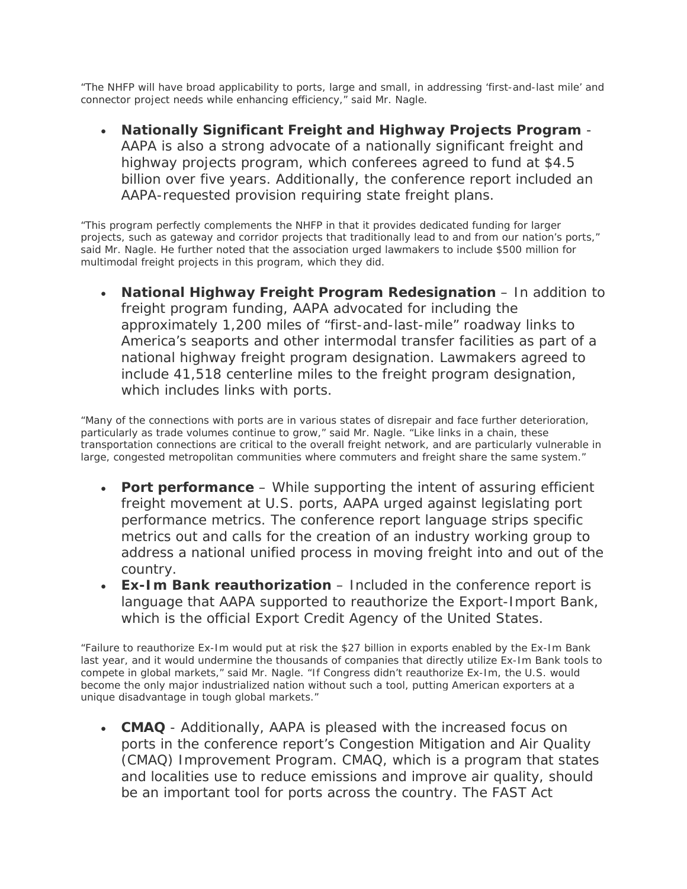"The NHFP will have broad applicability to ports, large and small, in addressing 'first-and-last mile' and connector project needs while enhancing efficiency," said Mr. Nagle.

• **Nationally Significant Freight and Highway Projects Program** - AAPA is also a strong advocate of a nationally significant freight and highway projects program, which conferees agreed to fund at \$4.5 billion over five years. Additionally, the conference report included an AAPA-requested provision requiring state freight plans.

"This program perfectly complements the NHFP in that it provides dedicated funding for larger projects, such as gateway and corridor projects that traditionally lead to and from our nation's ports," said Mr. Nagle. He further noted that the association urged lawmakers to include \$500 million for multimodal freight projects in this program, which they did.

• **National Highway Freight Program Redesignation** – In addition to freight program funding, AAPA advocated for including the approximately 1,200 miles of "first-and-last-mile" roadway links to America's seaports and other intermodal transfer facilities as part of a national highway freight program designation. Lawmakers agreed to include 41,518 centerline miles to the freight program designation, which includes links with ports.

"Many of the connections with ports are in various states of disrepair and face further deterioration, particularly as trade volumes continue to grow," said Mr. Nagle. "Like links in a chain, these transportation connections are critical to the overall freight network, and are particularly vulnerable in large, congested metropolitan communities where commuters and freight share the same system."

- **Port performance** While supporting the intent of assuring efficient freight movement at U.S. ports, AAPA urged against legislating port performance metrics. The conference report language strips specific metrics out and calls for the creation of an industry working group to address a national unified process in moving freight into and out of the country.
- **Ex-Im Bank reauthorization** Included in the conference report is language that AAPA supported to reauthorize the Export-Import Bank, which is the official Export Credit Agency of the United States.

"Failure to reauthorize Ex-Im would put at risk the \$27 billion in exports enabled by the Ex-Im Bank last year, and it would undermine the thousands of companies that directly utilize Ex-Im Bank tools to compete in global markets," said Mr. Nagle. "If Congress didn't reauthorize Ex-Im, the U.S. would become the only major industrialized nation without such a tool, putting American exporters at a unique disadvantage in tough global markets."

• **CMAQ** - Additionally, AAPA is pleased with the increased focus on ports in the conference report's Congestion Mitigation and Air Quality (CMAQ) Improvement Program. CMAQ, which is a program that states and localities use to reduce emissions and improve air quality, should be an important tool for ports across the country. The FAST Act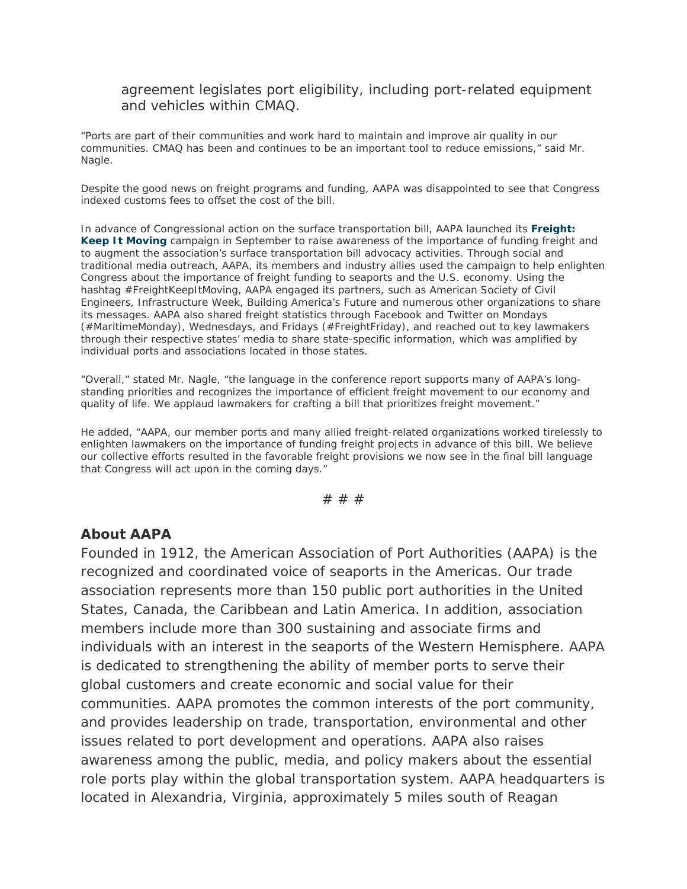### agreement legislates port eligibility, including port-related equipment and vehicles within CMAQ.

"Ports are part of their communities and work hard to maintain and improve air quality in our communities. CMAQ has been and continues to be an important tool to reduce emissions," said Mr. Nagle.

Despite the good news on freight programs and funding, AAPA was disappointed to see that Congress indexed customs fees to offset the cost of the bill.

In advance of Congressional action on the surface transportation bill, AAPA launched its *[Freight:](http://port.informz.net/z/cjUucD9taT01MDcxNjE3JnA9MSZ1PTEwNTk4MjI2MjUmbGk9MzExMzk0NDc/index.html)  [Keep It Moving](http://port.informz.net/z/cjUucD9taT01MDcxNjE3JnA9MSZ1PTEwNTk4MjI2MjUmbGk9MzExMzk0NDc/index.html)* campaign in September to raise awareness of the importance of funding freight and to augment the association's surface transportation bill advocacy activities. Through social and traditional media outreach, AAPA, its members and industry allies used the campaign to help enlighten Congress about the importance of freight funding to seaports and the U.S. economy. Using the hashtag #FreightKeepItMoving, AAPA engaged its partners, such as American Society of Civil Engineers, Infrastructure Week, Building America's Future and numerous other organizations to share its messages. AAPA also shared freight statistics through Facebook and Twitter on Mondays (#MaritimeMonday), Wednesdays, and Fridays (#FreightFriday), and reached out to key lawmakers through their respective states' media to share state-specific information, which was amplified by individual ports and associations located in those states.

"Overall," stated Mr. Nagle, "the language in the conference report supports many of AAPA's longstanding priorities and recognizes the importance of efficient freight movement to our economy and quality of life. We applaud lawmakers for crafting a bill that prioritizes freight movement."

He added, "AAPA, our member ports and many allied freight-related organizations worked tirelessly to enlighten lawmakers on the importance of funding freight projects in advance of this bill. We believe our collective efforts resulted in the favorable freight provisions we now see in the final bill language that Congress will act upon in the coming days."

# # #

#### **About AAPA**

Founded in 1912, the American Association of Port Authorities (AAPA) is the recognized and coordinated voice of seaports in the Americas. Our trade association represents more than 150 public port authorities in the United States, Canada, the Caribbean and Latin America. In addition, association members include more than 300 sustaining and associate firms and individuals with an interest in the seaports of the Western Hemisphere. AAPA is dedicated to strengthening the ability of member ports to serve their global customers and create economic and social value for their communities. AAPA promotes the common interests of the port community, and provides leadership on trade, transportation, environmental and other issues related to port development and operations. AAPA also raises awareness among the public, media, and policy makers about the essential role ports play within the global transportation system. AAPA headquarters is located in Alexandria, Virginia, approximately 5 miles south of Reagan